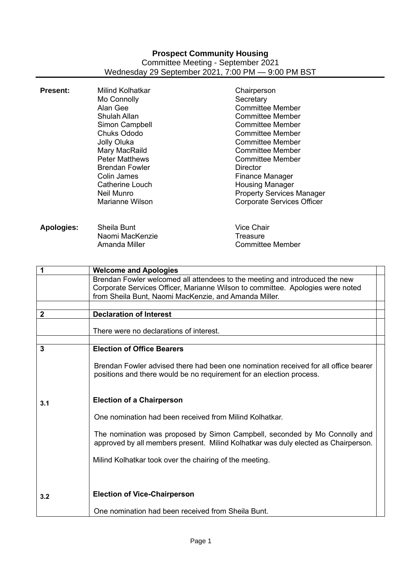## **Prospect Community Housing** Committee Meeting - September 2021 Wednesday 29 September 2021, 7:00 PM — 9:00 PM BST

| <b>Present:</b>         | <b>Milind Kolhatkar</b><br>Mo Connolly<br>Alan Gee<br><b>Shulah Allan</b><br>Simon Campbell<br><b>Chuks Ododo</b><br>Jolly Oluka<br>Mary MacRaild<br><b>Peter Matthews</b><br><b>Brendan Fowler</b><br>Colin James<br><b>Catherine Louch</b><br>Neil Munro<br><b>Marianne Wilson</b> | Chairperson<br>Secretary<br><b>Committee Member</b><br><b>Committee Member</b><br><b>Committee Member</b><br><b>Committee Member</b><br><b>Committee Member</b><br><b>Committee Member</b><br><b>Committee Member</b><br><b>Director</b><br><b>Finance Manager</b><br><b>Housing Manager</b><br><b>Property Services Manager</b><br><b>Corporate Services Officer</b> |
|-------------------------|--------------------------------------------------------------------------------------------------------------------------------------------------------------------------------------------------------------------------------------------------------------------------------------|-----------------------------------------------------------------------------------------------------------------------------------------------------------------------------------------------------------------------------------------------------------------------------------------------------------------------------------------------------------------------|
| <b>Apologies:</b>       | Sheila Bunt<br>Naomi MacKenzie<br>Amanda Miller                                                                                                                                                                                                                                      | <b>Vice Chair</b><br><b>Treasure</b><br><b>Committee Member</b>                                                                                                                                                                                                                                                                                                       |
| $\mathbf 1$             | <b>Welcome and Apologies</b>                                                                                                                                                                                                                                                         |                                                                                                                                                                                                                                                                                                                                                                       |
|                         | Brendan Fowler welcomed all attendees to the meeting and introduced the new<br>Corporate Services Officer, Marianne Wilson to committee. Apologies were noted<br>from Sheila Bunt, Naomi MacKenzie, and Amanda Miller.                                                               |                                                                                                                                                                                                                                                                                                                                                                       |
|                         |                                                                                                                                                                                                                                                                                      |                                                                                                                                                                                                                                                                                                                                                                       |
| $\mathbf{2}$            | <b>Declaration of Interest</b>                                                                                                                                                                                                                                                       |                                                                                                                                                                                                                                                                                                                                                                       |
|                         | There were no declarations of interest.                                                                                                                                                                                                                                              |                                                                                                                                                                                                                                                                                                                                                                       |
|                         |                                                                                                                                                                                                                                                                                      |                                                                                                                                                                                                                                                                                                                                                                       |
| $\overline{\mathbf{3}}$ | <b>Election of Office Bearers</b>                                                                                                                                                                                                                                                    |                                                                                                                                                                                                                                                                                                                                                                       |
|                         | positions and there would be no requirement for an election process.                                                                                                                                                                                                                 | Brendan Fowler advised there had been one nomination received for all office bearer                                                                                                                                                                                                                                                                                   |
| 3.1                     | <b>Election of a Chairperson</b>                                                                                                                                                                                                                                                     |                                                                                                                                                                                                                                                                                                                                                                       |
|                         | One nomination had been received from Milind Kolhatkar.                                                                                                                                                                                                                              |                                                                                                                                                                                                                                                                                                                                                                       |
|                         |                                                                                                                                                                                                                                                                                      | The nomination was proposed by Simon Campbell, seconded by Mo Connolly and<br>approved by all members present. Milind Kolhatkar was duly elected as Chairperson.                                                                                                                                                                                                      |
|                         | Milind Kolhatkar took over the chairing of the meeting.                                                                                                                                                                                                                              |                                                                                                                                                                                                                                                                                                                                                                       |
| 3.2                     | <b>Election of Vice-Chairperson</b>                                                                                                                                                                                                                                                  |                                                                                                                                                                                                                                                                                                                                                                       |
|                         | One nomination had been received from Sheila Bunt.                                                                                                                                                                                                                                   |                                                                                                                                                                                                                                                                                                                                                                       |
|                         |                                                                                                                                                                                                                                                                                      |                                                                                                                                                                                                                                                                                                                                                                       |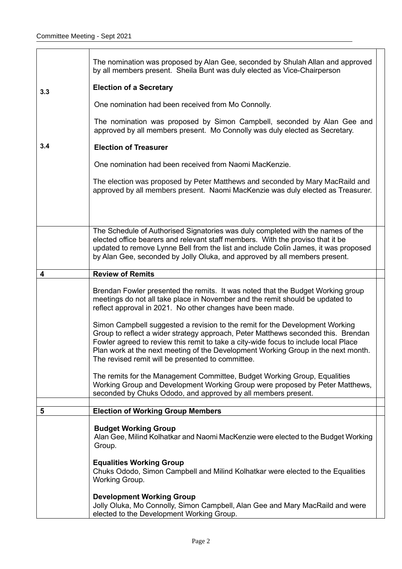|     | The nomination was proposed by Alan Gee, seconded by Shulah Allan and approved<br>by all members present. Sheila Bunt was duly elected as Vice-Chairperson                                                                                                                                                                                                                                         |  |
|-----|----------------------------------------------------------------------------------------------------------------------------------------------------------------------------------------------------------------------------------------------------------------------------------------------------------------------------------------------------------------------------------------------------|--|
| 3.3 | <b>Election of a Secretary</b>                                                                                                                                                                                                                                                                                                                                                                     |  |
|     | One nomination had been received from Mo Connolly.                                                                                                                                                                                                                                                                                                                                                 |  |
|     | The nomination was proposed by Simon Campbell, seconded by Alan Gee and<br>approved by all members present. Mo Connolly was duly elected as Secretary.                                                                                                                                                                                                                                             |  |
| 3.4 | <b>Election of Treasurer</b>                                                                                                                                                                                                                                                                                                                                                                       |  |
|     | One nomination had been received from Naomi MacKenzie.                                                                                                                                                                                                                                                                                                                                             |  |
|     | The election was proposed by Peter Matthews and seconded by Mary MacRaild and<br>approved by all members present. Naomi MacKenzie was duly elected as Treasurer.                                                                                                                                                                                                                                   |  |
|     | The Schedule of Authorised Signatories was duly completed with the names of the<br>elected office bearers and relevant staff members. With the proviso that it be<br>updated to remove Lynne Bell from the list and include Colin James, it was proposed<br>by Alan Gee, seconded by Jolly Oluka, and approved by all members present.                                                             |  |
| 4   | <b>Review of Remits</b>                                                                                                                                                                                                                                                                                                                                                                            |  |
|     | Brendan Fowler presented the remits. It was noted that the Budget Working group<br>meetings do not all take place in November and the remit should be updated to<br>reflect approval in 2021. No other changes have been made.                                                                                                                                                                     |  |
|     | Simon Campbell suggested a revision to the remit for the Development Working<br>Group to reflect a wider strategy approach, Peter Matthews seconded this. Brendan<br>Fowler agreed to review this remit to take a city-wide focus to include local Place<br>Plan work at the next meeting of the Development Working Group in the next month.<br>The revised remit will be presented to committee. |  |
|     | The remits for the Management Committee, Budget Working Group, Equalities<br>Working Group and Development Working Group were proposed by Peter Matthews,<br>seconded by Chuks Ododo, and approved by all members present.                                                                                                                                                                         |  |
| 5   | <b>Election of Working Group Members</b>                                                                                                                                                                                                                                                                                                                                                           |  |
|     |                                                                                                                                                                                                                                                                                                                                                                                                    |  |
|     | <b>Budget Working Group</b><br>Alan Gee, Milind Kolhatkar and Naomi MacKenzie were elected to the Budget Working<br>Group.                                                                                                                                                                                                                                                                         |  |
|     | <b>Equalities Working Group</b><br>Chuks Ododo, Simon Campbell and Milind Kolhatkar were elected to the Equalities<br>Working Group.                                                                                                                                                                                                                                                               |  |
|     | <b>Development Working Group</b><br>Jolly Oluka, Mo Connolly, Simon Campbell, Alan Gee and Mary MacRaild and were<br>elected to the Development Working Group.                                                                                                                                                                                                                                     |  |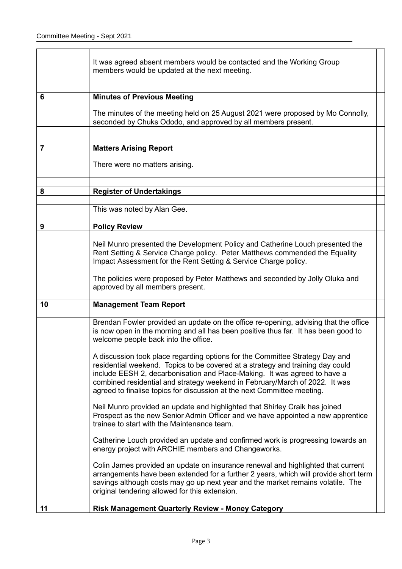|    | It was agreed absent members would be contacted and the Working Group<br>members would be updated at the next meeting.                                                                                                                                                                                                                                                                                |  |
|----|-------------------------------------------------------------------------------------------------------------------------------------------------------------------------------------------------------------------------------------------------------------------------------------------------------------------------------------------------------------------------------------------------------|--|
|    |                                                                                                                                                                                                                                                                                                                                                                                                       |  |
| 6  | <b>Minutes of Previous Meeting</b>                                                                                                                                                                                                                                                                                                                                                                    |  |
|    | The minutes of the meeting held on 25 August 2021 were proposed by Mo Connolly,<br>seconded by Chuks Ododo, and approved by all members present.                                                                                                                                                                                                                                                      |  |
|    |                                                                                                                                                                                                                                                                                                                                                                                                       |  |
| 7  | <b>Matters Arising Report</b>                                                                                                                                                                                                                                                                                                                                                                         |  |
|    | There were no matters arising.                                                                                                                                                                                                                                                                                                                                                                        |  |
|    |                                                                                                                                                                                                                                                                                                                                                                                                       |  |
| 8  | <b>Register of Undertakings</b>                                                                                                                                                                                                                                                                                                                                                                       |  |
|    | This was noted by Alan Gee.                                                                                                                                                                                                                                                                                                                                                                           |  |
|    |                                                                                                                                                                                                                                                                                                                                                                                                       |  |
| 9  | <b>Policy Review</b>                                                                                                                                                                                                                                                                                                                                                                                  |  |
|    | Neil Munro presented the Development Policy and Catherine Louch presented the<br>Rent Setting & Service Charge policy. Peter Matthews commended the Equality<br>Impact Assessment for the Rent Setting & Service Charge policy.                                                                                                                                                                       |  |
|    | The policies were proposed by Peter Matthews and seconded by Jolly Oluka and<br>approved by all members present.                                                                                                                                                                                                                                                                                      |  |
| 10 | <b>Management Team Report</b>                                                                                                                                                                                                                                                                                                                                                                         |  |
|    | Brendan Fowler provided an update on the office re-opening, advising that the office<br>is now open in the morning and all has been positive thus far. It has been good to<br>welcome people back into the office.                                                                                                                                                                                    |  |
|    | A discussion took place regarding options for the Committee Strategy Day and<br>residential weekend. Topics to be covered at a strategy and training day could<br>include EESH 2, decarbonisation and Place-Making. It was agreed to have a<br>combined residential and strategy weekend in February/March of 2022. It was<br>agreed to finalise topics for discussion at the next Committee meeting. |  |
|    | Neil Munro provided an update and highlighted that Shirley Craik has joined<br>Prospect as the new Senior Admin Officer and we have appointed a new apprentice<br>trainee to start with the Maintenance team.                                                                                                                                                                                         |  |
|    | Catherine Louch provided an update and confirmed work is progressing towards an<br>energy project with ARCHIE members and Changeworks.                                                                                                                                                                                                                                                                |  |
|    | Colin James provided an update on insurance renewal and highlighted that current<br>arrangements have been extended for a further 2 years, which will provide short term<br>savings although costs may go up next year and the market remains volatile. The<br>original tendering allowed for this extension.                                                                                         |  |
| 11 | <b>Risk Management Quarterly Review - Money Category</b>                                                                                                                                                                                                                                                                                                                                              |  |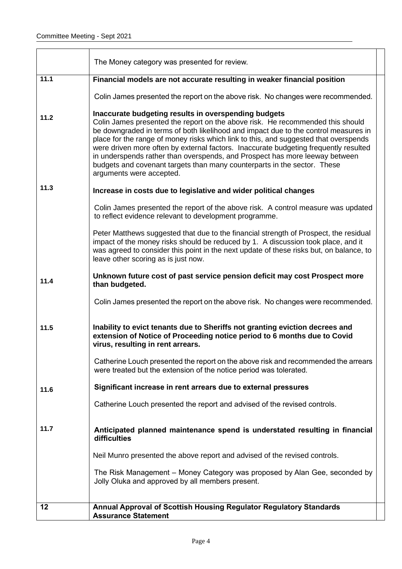|      | The Money category was presented for review.                                                                                                                                                                                                                                                                                                                                                                                                                                                                                                                                                         |  |
|------|------------------------------------------------------------------------------------------------------------------------------------------------------------------------------------------------------------------------------------------------------------------------------------------------------------------------------------------------------------------------------------------------------------------------------------------------------------------------------------------------------------------------------------------------------------------------------------------------------|--|
| 11.1 | Financial models are not accurate resulting in weaker financial position                                                                                                                                                                                                                                                                                                                                                                                                                                                                                                                             |  |
|      | Colin James presented the report on the above risk. No changes were recommended.                                                                                                                                                                                                                                                                                                                                                                                                                                                                                                                     |  |
| 11.2 | Inaccurate budgeting results in overspending budgets<br>Colin James presented the report on the above risk. He recommended this should<br>be downgraded in terms of both likelihood and impact due to the control measures in<br>place for the range of money risks which link to this, and suggested that overspends<br>were driven more often by external factors. Inaccurate budgeting frequently resulted<br>in underspends rather than overspends, and Prospect has more leeway between<br>budgets and covenant targets than many counterparts in the sector. These<br>arguments were accepted. |  |
| 11.3 | Increase in costs due to legislative and wider political changes                                                                                                                                                                                                                                                                                                                                                                                                                                                                                                                                     |  |
|      | Colin James presented the report of the above risk. A control measure was updated<br>to reflect evidence relevant to development programme.                                                                                                                                                                                                                                                                                                                                                                                                                                                          |  |
|      | Peter Matthews suggested that due to the financial strength of Prospect, the residual<br>impact of the money risks should be reduced by 1. A discussion took place, and it<br>was agreed to consider this point in the next update of these risks but, on balance, to<br>leave other scoring as is just now.                                                                                                                                                                                                                                                                                         |  |
| 11.4 | Unknown future cost of past service pension deficit may cost Prospect more<br>than budgeted.                                                                                                                                                                                                                                                                                                                                                                                                                                                                                                         |  |
|      | Colin James presented the report on the above risk. No changes were recommended.                                                                                                                                                                                                                                                                                                                                                                                                                                                                                                                     |  |
| 11.5 | Inability to evict tenants due to Sheriffs not granting eviction decrees and<br>extension of Notice of Proceeding notice period to 6 months due to Covid<br>virus, resulting in rent arrears.                                                                                                                                                                                                                                                                                                                                                                                                        |  |
|      | Catherine Louch presented the report on the above risk and recommended the arrears<br>were treated but the extension of the notice period was tolerated.                                                                                                                                                                                                                                                                                                                                                                                                                                             |  |
| 11.6 | Significant increase in rent arrears due to external pressures                                                                                                                                                                                                                                                                                                                                                                                                                                                                                                                                       |  |
|      | Catherine Louch presented the report and advised of the revised controls.                                                                                                                                                                                                                                                                                                                                                                                                                                                                                                                            |  |
| 11.7 | Anticipated planned maintenance spend is understated resulting in financial<br>difficulties                                                                                                                                                                                                                                                                                                                                                                                                                                                                                                          |  |
|      | Neil Munro presented the above report and advised of the revised controls.                                                                                                                                                                                                                                                                                                                                                                                                                                                                                                                           |  |
|      | The Risk Management – Money Category was proposed by Alan Gee, seconded by<br>Jolly Oluka and approved by all members present.                                                                                                                                                                                                                                                                                                                                                                                                                                                                       |  |
| 12   | Annual Approval of Scottish Housing Regulator Regulatory Standards                                                                                                                                                                                                                                                                                                                                                                                                                                                                                                                                   |  |
|      | <b>Assurance Statement</b>                                                                                                                                                                                                                                                                                                                                                                                                                                                                                                                                                                           |  |